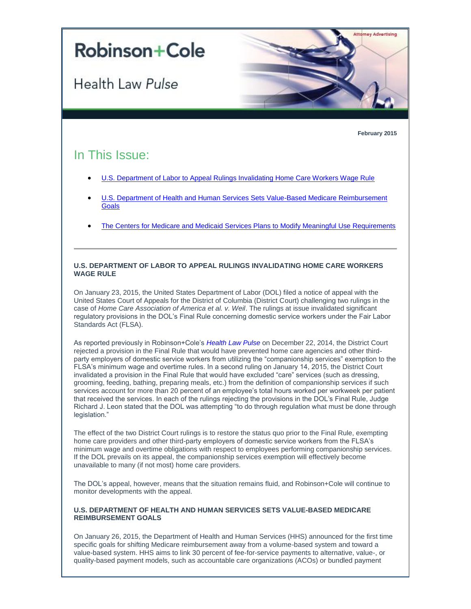# **Robinson+Cole**

Health Law Pulse

**February 2015**

Attorney Advertising

# In This Issue:

- [U.S. Department of Labor to Appeal Rulings Invalidating Home Care Workers Wage Rule](#page-0-0)
- U.S. [Department of Health and Human Services Sets Value-Based Medicare Reimbursement](#page-0-1)  **[Goals](#page-0-1)**
- [The Centers for Medicare and Medicaid Services Plans to Modify Meaningful Use Requirements](#page-1-0)

## <span id="page-0-0"></span>**U.S. DEPARTMENT OF LABOR TO APPEAL RULINGS INVALIDATING HOME CARE WORKERS WAGE RULE**

On January 23, 2015, the United States Department of Labor (DOL) filed a notice of appeal with the United States Court of Appeals for the District of Columbia (District Court) challenging two rulings in the case of *Home Care Association of America et al. v. Weil*. The rulings at issue invalidated significant regulatory provisions in the DOL's Final Rule concerning domestic service workers under the Fair Labor Standards Act (FLSA).

As reported previously in Robinson+Cole's *[Health Law Pulse](http://t2806904.omkt.co/track.aspx?id=402|2AD478|6F10|19C|944|0|8BA|1|3EFFD8FF&destination=http%3a%2f%2fwww.rc.com%2fnewsletters%2f2015%2fupload%2fLegal-Update_Health-Law-Pulse_1-7-14.pdf%3futm_source%3dVocus%26utm_medium%3demail%26utm_campaign%3dRobinson%2b%2526%2bCole%2bLLP%26utm_content%3dBHC%2bHealth%2bLaw%2bPulse%2b%2bFebruary%2b2015&dchk=6F35336)* on December 22, 2014, the District Court rejected a provision in the Final Rule that would have prevented home care agencies and other thirdparty employers of domestic service workers from utilizing the "companionship services" exemption to the FLSA's minimum wage and overtime rules. In a second ruling on January 14, 2015, the District Court invalidated a provision in the Final Rule that would have excluded "care" services (such as dressing, grooming, feeding, bathing, preparing meals, etc.) from the definition of companionship services if such services account for more than 20 percent of an employee's total hours worked per workweek per patient that received the services. In each of the rulings rejecting the provisions in the DOL's Final Rule, Judge Richard J. Leon stated that the DOL was attempting "to do through regulation what must be done through legislation."

The effect of the two District Court rulings is to restore the status quo prior to the Final Rule, exempting home care providers and other third-party employers of domestic service workers from the FLSA's minimum wage and overtime obligations with respect to employees performing companionship services. If the DOL prevails on its appeal, the companionship services exemption will effectively become unavailable to many (if not most) home care providers.

The DOL's appeal, however, means that the situation remains fluid, and Robinson+Cole will continue to monitor developments with the appeal.

#### <span id="page-0-1"></span>**U.S. DEPARTMENT OF HEALTH AND HUMAN SERVICES SETS VALUE-BASED MEDICARE REIMBURSEMENT GOALS**

On January 26, 2015, the Department of Health and Human Services (HHS) announced for the first time specific goals for shifting Medicare reimbursement away from a volume-based system and toward a value-based system. HHS aims to link 30 percent of fee-for-service payments to alternative, value-, or quality-based payment models, such as accountable care organizations (ACOs) or bundled payment